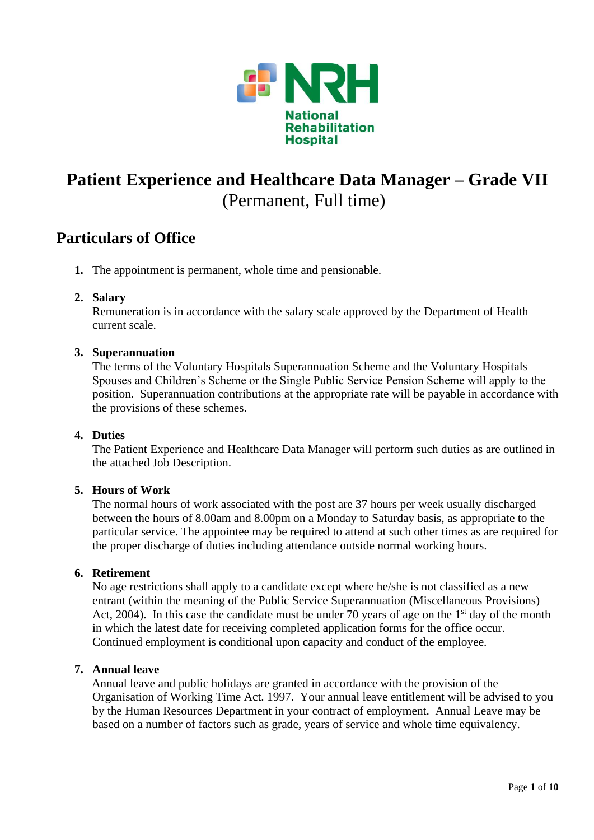

## **Particulars of Office**

**1.** The appointment is permanent, whole time and pensionable.

## **2. Salary**

Remuneration is in accordance with the salary scale approved by the Department of Health current scale.

## **3. Superannuation**

The terms of the Voluntary Hospitals Superannuation Scheme and the Voluntary Hospitals Spouses and Children's Scheme or the Single Public Service Pension Scheme will apply to the position. Superannuation contributions at the appropriate rate will be payable in accordance with the provisions of these schemes.

### **4. Duties**

The Patient Experience and Healthcare Data Manager will perform such duties as are outlined in the attached Job Description.

## **5. Hours of Work**

The normal hours of work associated with the post are 37 hours per week usually discharged between the hours of 8.00am and 8.00pm on a Monday to Saturday basis, as appropriate to the particular service. The appointee may be required to attend at such other times as are required for the proper discharge of duties including attendance outside normal working hours.

### **6. Retirement**

No age restrictions shall apply to a candidate except where he/she is not classified as a new entrant (within the meaning of the Public Service Superannuation (Miscellaneous Provisions) Act, 2004). In this case the candidate must be under 70 years of age on the  $1<sup>st</sup>$  day of the month in which the latest date for receiving completed application forms for the office occur. Continued employment is conditional upon capacity and conduct of the employee.

### **7. Annual leave**

Annual leave and public holidays are granted in accordance with the provision of the Organisation of Working Time Act. 1997. Your annual leave entitlement will be advised to you by the Human Resources Department in your contract of employment. Annual Leave may be based on a number of factors such as grade, years of service and whole time equivalency.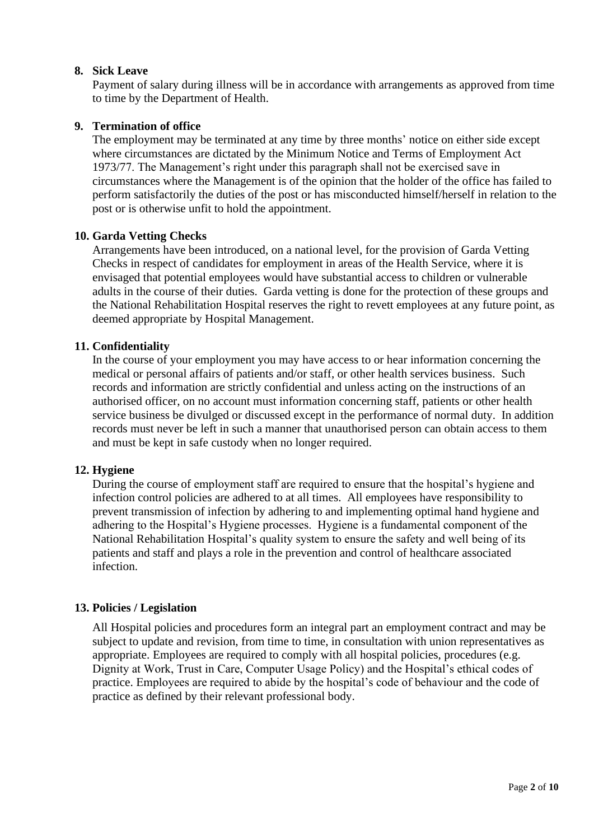## **8. Sick Leave**

Payment of salary during illness will be in accordance with arrangements as approved from time to time by the Department of Health.

## **9. Termination of office**

The employment may be terminated at any time by three months' notice on either side except where circumstances are dictated by the Minimum Notice and Terms of Employment Act 1973/77. The Management's right under this paragraph shall not be exercised save in circumstances where the Management is of the opinion that the holder of the office has failed to perform satisfactorily the duties of the post or has misconducted himself/herself in relation to the post or is otherwise unfit to hold the appointment.

## **10. Garda Vetting Checks**

Arrangements have been introduced, on a national level, for the provision of Garda Vetting Checks in respect of candidates for employment in areas of the Health Service, where it is envisaged that potential employees would have substantial access to children or vulnerable adults in the course of their duties. Garda vetting is done for the protection of these groups and the National Rehabilitation Hospital reserves the right to revett employees at any future point, as deemed appropriate by Hospital Management.

## **11. Confidentiality**

In the course of your employment you may have access to or hear information concerning the medical or personal affairs of patients and/or staff, or other health services business. Such records and information are strictly confidential and unless acting on the instructions of an authorised officer, on no account must information concerning staff, patients or other health service business be divulged or discussed except in the performance of normal duty. In addition records must never be left in such a manner that unauthorised person can obtain access to them and must be kept in safe custody when no longer required.

### **12. Hygiene**

During the course of employment staff are required to ensure that the hospital's hygiene and infection control policies are adhered to at all times. All employees have responsibility to prevent transmission of infection by adhering to and implementing optimal hand hygiene and adhering to the Hospital's Hygiene processes. Hygiene is a fundamental component of the National Rehabilitation Hospital's quality system to ensure the safety and well being of its patients and staff and plays a role in the prevention and control of healthcare associated infection.

### **13. Policies / Legislation**

All Hospital policies and procedures form an integral part an employment contract and may be subject to update and revision, from time to time, in consultation with union representatives as appropriate. Employees are required to comply with all hospital policies, procedures (e.g. Dignity at Work, Trust in Care, Computer Usage Policy) and the Hospital's ethical codes of practice. Employees are required to abide by the hospital's code of behaviour and the code of practice as defined by their relevant professional body.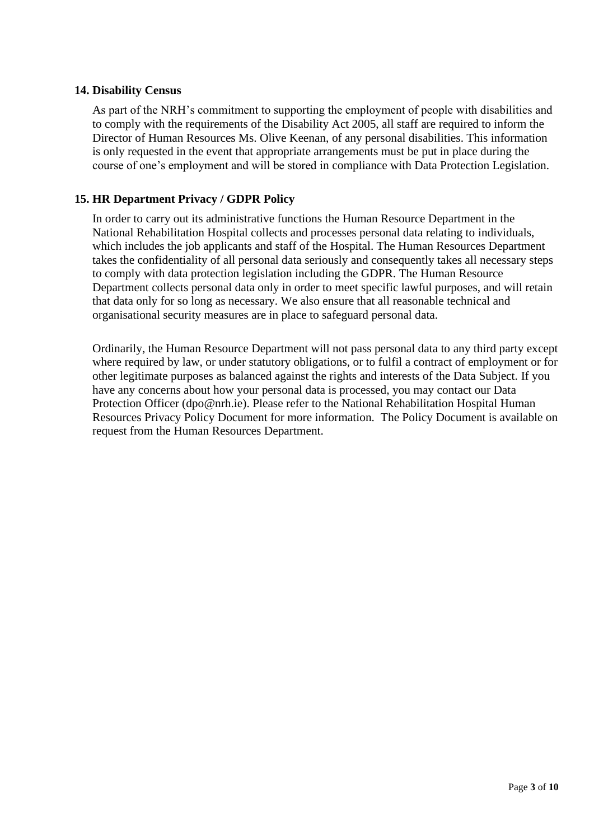## **14. Disability Census**

As part of the NRH's commitment to supporting the employment of people with disabilities and to comply with the requirements of the Disability Act 2005, all staff are required to inform the Director of Human Resources Ms. Olive Keenan, of any personal disabilities. This information is only requested in the event that appropriate arrangements must be put in place during the course of one's employment and will be stored in compliance with Data Protection Legislation.

## **15. HR Department Privacy / GDPR Policy**

In order to carry out its administrative functions the Human Resource Department in the National Rehabilitation Hospital collects and processes personal data relating to individuals, which includes the job applicants and staff of the Hospital. The Human Resources Department takes the confidentiality of all personal data seriously and consequently takes all necessary steps to comply with data protection legislation including the GDPR. The Human Resource Department collects personal data only in order to meet specific lawful purposes, and will retain that data only for so long as necessary. We also ensure that all reasonable technical and organisational security measures are in place to safeguard personal data.

Ordinarily, the Human Resource Department will not pass personal data to any third party except where required by law, or under statutory obligations, or to fulfil a contract of employment or for other legitimate purposes as balanced against the rights and interests of the Data Subject. If you have any concerns about how your personal data is processed, you may contact our Data Protection Officer [\(dpo@nrh.ie\)](mailto:dpo@nrh.ie). Please refer to the National Rehabilitation Hospital Human Resources Privacy Policy Document for more information. The Policy Document is available on request from the Human Resources Department.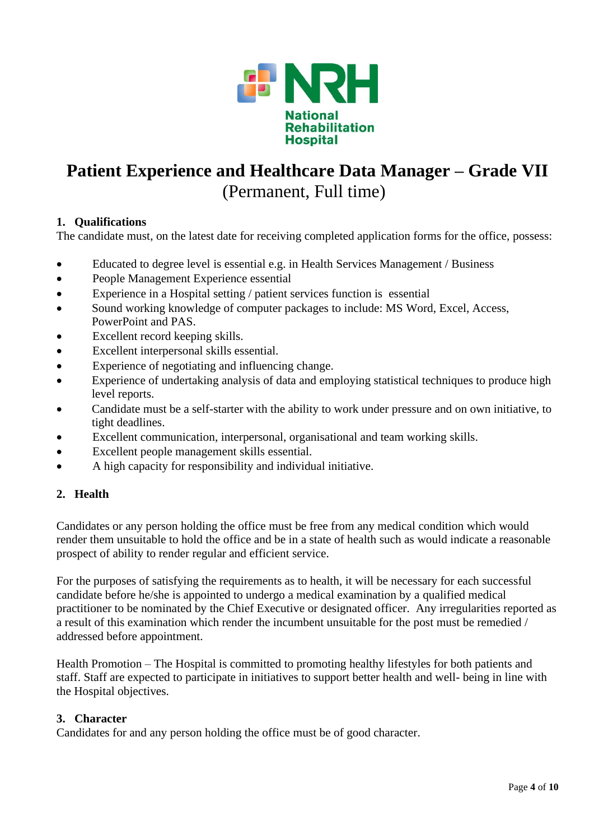

## **1. Qualifications**

The candidate must, on the latest date for receiving completed application forms for the office, possess:

- Educated to degree level is essential e.g. in Health Services Management / Business
- People Management Experience essential
- Experience in a Hospital setting / patient services function is essential
- Sound working knowledge of computer packages to include: MS Word, Excel, Access, PowerPoint and PAS.
- Excellent record keeping skills.
- Excellent interpersonal skills essential.
- Experience of negotiating and influencing change.
- Experience of undertaking analysis of data and employing statistical techniques to produce high level reports.
- Candidate must be a self-starter with the ability to work under pressure and on own initiative, to tight deadlines.
- Excellent communication, interpersonal, organisational and team working skills.
- Excellent people management skills essential.
- A high capacity for responsibility and individual initiative.

## **2. Health**

Candidates or any person holding the office must be free from any medical condition which would render them unsuitable to hold the office and be in a state of health such as would indicate a reasonable prospect of ability to render regular and efficient service.

For the purposes of satisfying the requirements as to health, it will be necessary for each successful candidate before he/she is appointed to undergo a medical examination by a qualified medical practitioner to be nominated by the Chief Executive or designated officer. Any irregularities reported as a result of this examination which render the incumbent unsuitable for the post must be remedied / addressed before appointment.

Health Promotion – The Hospital is committed to promoting healthy lifestyles for both patients and staff. Staff are expected to participate in initiatives to support better health and well- being in line with the Hospital objectives.

## **3. Character**

Candidates for and any person holding the office must be of good character.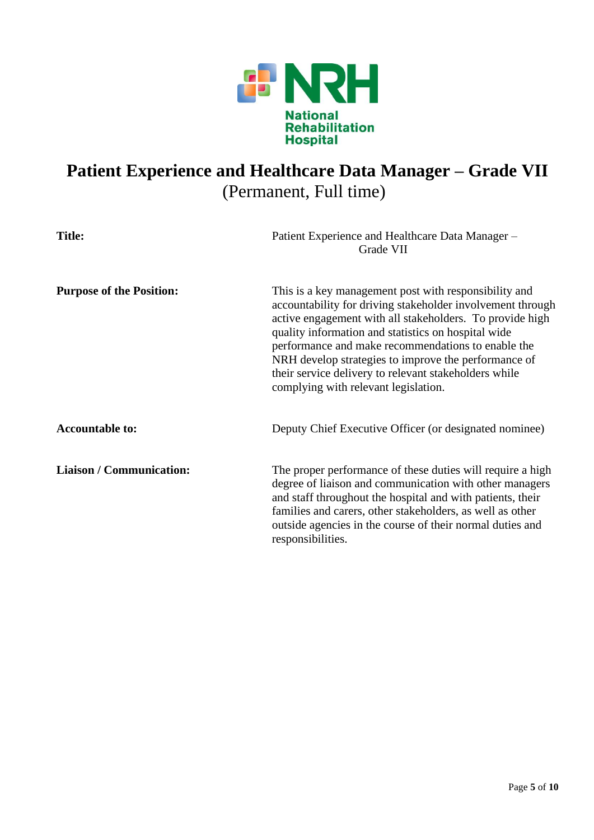

| <b>Title:</b>                   | Patient Experience and Healthcare Data Manager -<br>Grade VII                                                                                                                                                                                                                                                                                                                                                                                         |
|---------------------------------|-------------------------------------------------------------------------------------------------------------------------------------------------------------------------------------------------------------------------------------------------------------------------------------------------------------------------------------------------------------------------------------------------------------------------------------------------------|
| <b>Purpose of the Position:</b> | This is a key management post with responsibility and<br>accountability for driving stakeholder involvement through<br>active engagement with all stakeholders. To provide high<br>quality information and statistics on hospital wide<br>performance and make recommendations to enable the<br>NRH develop strategies to improve the performance of<br>their service delivery to relevant stakeholders while<br>complying with relevant legislation. |
| <b>Accountable to:</b>          | Deputy Chief Executive Officer (or designated nominee)                                                                                                                                                                                                                                                                                                                                                                                                |
| <b>Liaison / Communication:</b> | The proper performance of these duties will require a high<br>degree of liaison and communication with other managers<br>and staff throughout the hospital and with patients, their<br>families and carers, other stakeholders, as well as other<br>outside agencies in the course of their normal duties and<br>responsibilities.                                                                                                                    |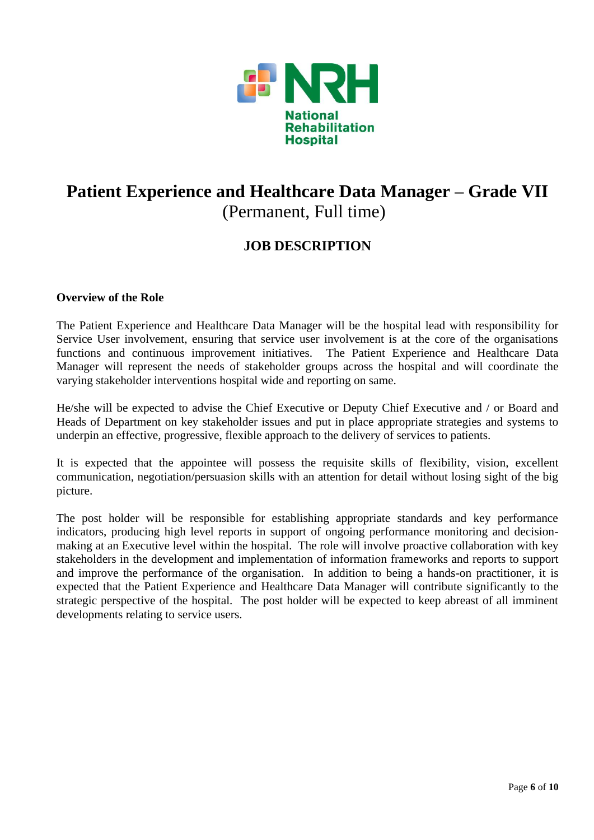

## **JOB DESCRIPTION**

## **Overview of the Role**

The Patient Experience and Healthcare Data Manager will be the hospital lead with responsibility for Service User involvement, ensuring that service user involvement is at the core of the organisations functions and continuous improvement initiatives. The Patient Experience and Healthcare Data Manager will represent the needs of stakeholder groups across the hospital and will coordinate the varying stakeholder interventions hospital wide and reporting on same.

He/she will be expected to advise the Chief Executive or Deputy Chief Executive and / or Board and Heads of Department on key stakeholder issues and put in place appropriate strategies and systems to underpin an effective, progressive, flexible approach to the delivery of services to patients.

It is expected that the appointee will possess the requisite skills of flexibility, vision, excellent communication, negotiation/persuasion skills with an attention for detail without losing sight of the big picture.

The post holder will be responsible for establishing appropriate standards and key performance indicators, producing high level reports in support of ongoing performance monitoring and decisionmaking at an Executive level within the hospital. The role will involve proactive collaboration with key stakeholders in the development and implementation of information frameworks and reports to support and improve the performance of the organisation. In addition to being a hands-on practitioner, it is expected that the Patient Experience and Healthcare Data Manager will contribute significantly to the strategic perspective of the hospital. The post holder will be expected to keep abreast of all imminent developments relating to service users.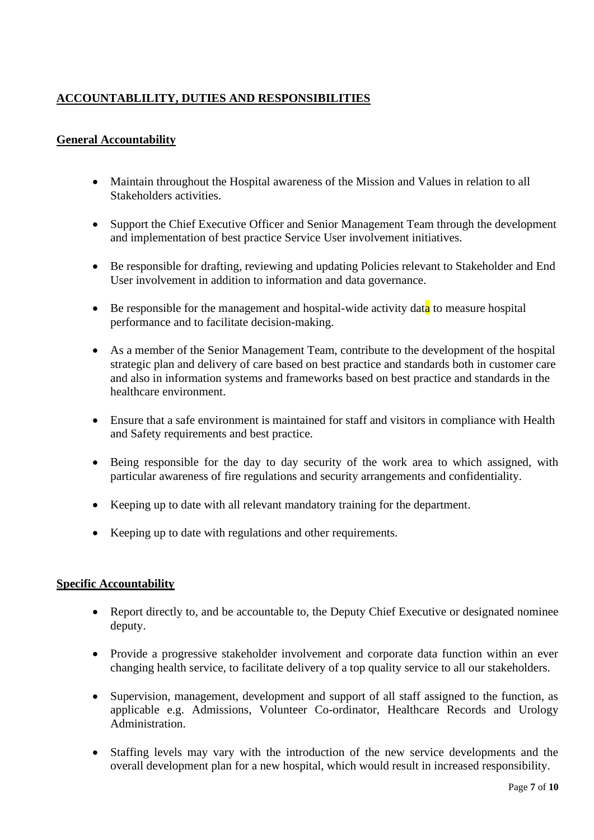## **ACCOUNTABLILITY, DUTIES AND RESPONSIBILITIES**

## **General Accountability**

- Maintain throughout the Hospital awareness of the Mission and Values in relation to all Stakeholders activities.
- Support the Chief Executive Officer and Senior Management Team through the development and implementation of best practice Service User involvement initiatives.
- Be responsible for drafting, reviewing and updating Policies relevant to Stakeholder and End User involvement in addition to information and data governance.
- Be responsible for the management and hospital-wide activity data to measure hospital performance and to facilitate decision-making.
- As a member of the Senior Management Team, contribute to the development of the hospital strategic plan and delivery of care based on best practice and standards both in customer care and also in information systems and frameworks based on best practice and standards in the healthcare environment.
- Ensure that a safe environment is maintained for staff and visitors in compliance with Health and Safety requirements and best practice.
- Being responsible for the day to day security of the work area to which assigned, with particular awareness of fire regulations and security arrangements and confidentiality.
- Keeping up to date with all relevant mandatory training for the department.
- Keeping up to date with regulations and other requirements.

### **Specific Accountability**

- Report directly to, and be accountable to, the Deputy Chief Executive or designated nominee deputy.
- Provide a progressive stakeholder involvement and corporate data function within an ever changing health service, to facilitate delivery of a top quality service to all our stakeholders.
- Supervision, management, development and support of all staff assigned to the function, as applicable e.g. Admissions, Volunteer Co-ordinator, Healthcare Records and Urology Administration.
- Staffing levels may vary with the introduction of the new service developments and the overall development plan for a new hospital, which would result in increased responsibility.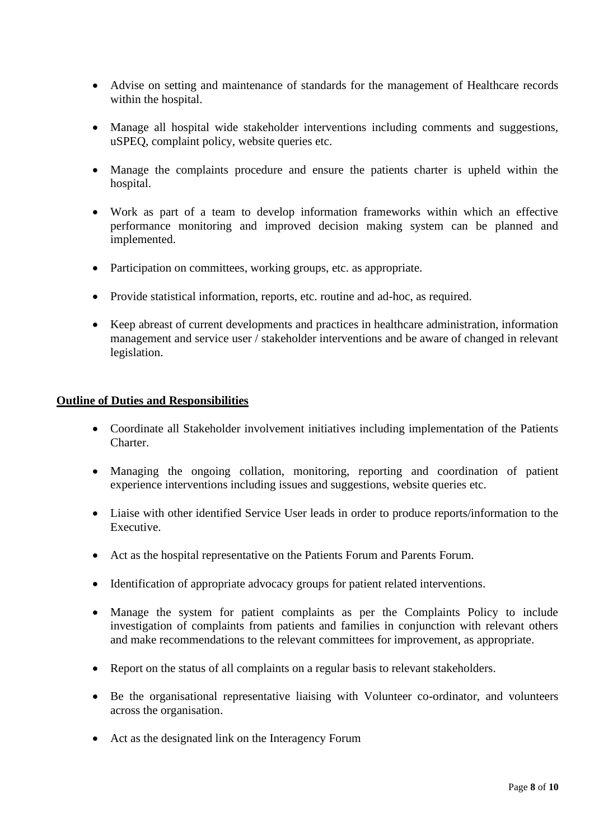- Advise on setting and maintenance of standards for the management of Healthcare records within the hospital.
- Manage all hospital wide stakeholder interventions including comments and suggestions, uSPEQ, complaint policy, website queries etc.
- Manage the complaints procedure and ensure the patients charter is upheld within the hospital.
- Work as part of a team to develop information frameworks within which an effective performance monitoring and improved decision making system can be planned and implemented.
- Participation on committees, working groups, etc. as appropriate.
- Provide statistical information, reports, etc. routine and ad-hoc, as required.
- Keep abreast of current developments and practices in healthcare administration, information management and service user / stakeholder interventions and be aware of changed in relevant legislation.

### **Outline of Duties and Responsibilities**

- Coordinate all Stakeholder involvement initiatives including implementation of the Patients Charter.
- Managing the ongoing collation, monitoring, reporting and coordination of patient experience interventions including issues and suggestions, website queries etc.
- Liaise with other identified Service User leads in order to produce reports/information to the Executive.
- Act as the hospital representative on the Patients Forum and Parents Forum.
- Identification of appropriate advocacy groups for patient related interventions.
- Manage the system for patient complaints as per the Complaints Policy to include investigation of complaints from patients and families in conjunction with relevant others and make recommendations to the relevant committees for improvement, as appropriate.
- Report on the status of all complaints on a regular basis to relevant stakeholders.
- Be the organisational representative liaising with Volunteer co-ordinator, and volunteers across the organisation.
- Act as the designated link on the Interagency Forum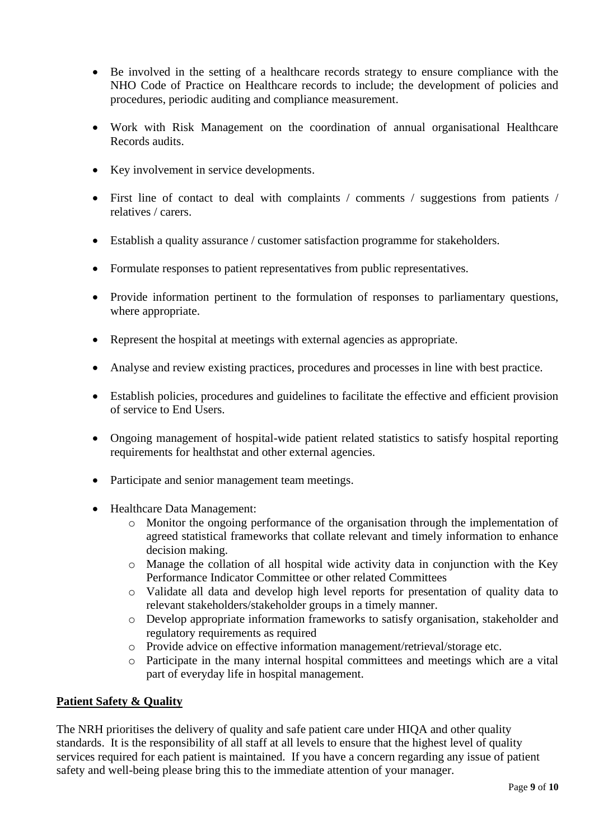- Be involved in the setting of a healthcare records strategy to ensure compliance with the NHO Code of Practice on Healthcare records to include; the development of policies and procedures, periodic auditing and compliance measurement.
- Work with Risk Management on the coordination of annual organisational Healthcare Records audits.
- Key involvement in service developments.
- First line of contact to deal with complaints / comments / suggestions from patients / relatives / carers.
- Establish a quality assurance / customer satisfaction programme for stakeholders.
- Formulate responses to patient representatives from public representatives.
- Provide information pertinent to the formulation of responses to parliamentary questions, where appropriate.
- Represent the hospital at meetings with external agencies as appropriate.
- Analyse and review existing practices, procedures and processes in line with best practice.
- Establish policies, procedures and guidelines to facilitate the effective and efficient provision of service to End Users.
- Ongoing management of hospital-wide patient related statistics to satisfy hospital reporting requirements for healthstat and other external agencies.
- Participate and senior management team meetings.
- Healthcare Data Management:
	- o Monitor the ongoing performance of the organisation through the implementation of agreed statistical frameworks that collate relevant and timely information to enhance decision making.
	- o Manage the collation of all hospital wide activity data in conjunction with the Key Performance Indicator Committee or other related Committees
	- o Validate all data and develop high level reports for presentation of quality data to relevant stakeholders/stakeholder groups in a timely manner.
	- o Develop appropriate information frameworks to satisfy organisation, stakeholder and regulatory requirements as required
	- o Provide advice on effective information management/retrieval/storage etc.
	- o Participate in the many internal hospital committees and meetings which are a vital part of everyday life in hospital management.

## **Patient Safety & Quality**

The NRH prioritises the delivery of quality and safe patient care under HIQA and other quality standards. It is the responsibility of all staff at all levels to ensure that the highest level of quality services required for each patient is maintained. If you have a concern regarding any issue of patient safety and well-being please bring this to the immediate attention of your manager.